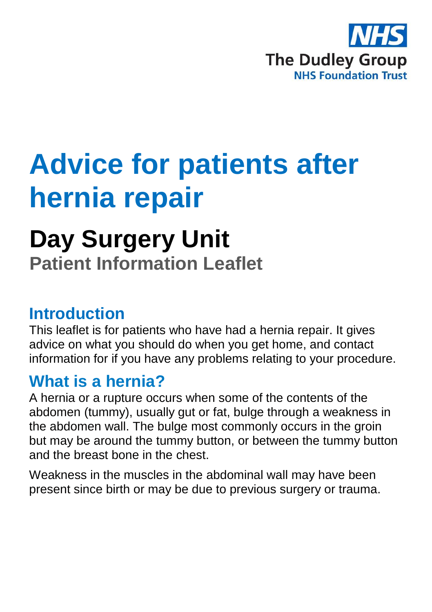

## **Advice for patients after hernia repair**

# **Day Surgery Unit**

**Patient Information Leaflet**

## **Introduction**

This leaflet is for patients who have had a hernia repair. It gives advice on what you should do when you get home, and contact information for if you have any problems relating to your procedure.

## **What is a hernia?**

A hernia or a rupture occurs when some of the contents of the abdomen (tummy), usually gut or fat, bulge through a weakness in the abdomen wall. The bulge most commonly occurs in the groin but may be around the tummy button, or between the tummy button and the breast bone in the chest.

Weakness in the muscles in the abdominal wall may have been present since birth or may be due to previous surgery or trauma.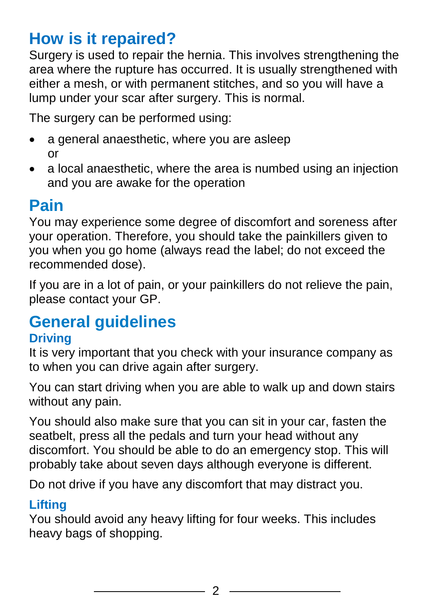## **How is it repaired?**

Surgery is used to repair the hernia. This involves strengthening the area where the rupture has occurred. It is usually strengthened with either a mesh, or with permanent stitches, and so you will have a lump under your scar after surgery. This is normal.

The surgery can be performed using:

- a general anaesthetic, where you are asleep or
- a local anaesthetic, where the area is numbed using an injection and you are awake for the operation

## **Pain**

You may experience some degree of discomfort and soreness after your operation. Therefore, you should take the painkillers given to you when you go home (always read the label; do not exceed the recommended dose).

If you are in a lot of pain, or your painkillers do not relieve the pain, please contact your GP.

## **General guidelines**

#### **Driving**

It is very important that you check with your insurance company as to when you can drive again after surgery.

You can start driving when you are able to walk up and down stairs without any pain.

You should also make sure that you can sit in your car, fasten the seatbelt, press all the pedals and turn your head without any discomfort. You should be able to do an emergency stop. This will probably take about seven days although everyone is different.

Do not drive if you have any discomfort that may distract you.

#### **Lifting**

You should avoid any heavy lifting for four weeks. This includes heavy bags of shopping.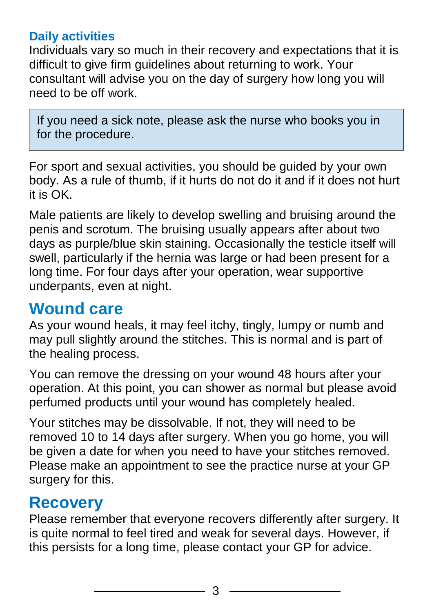#### **Daily activities**

Individuals vary so much in their recovery and expectations that it is difficult to give firm guidelines about returning to work. Your consultant will advise you on the day of surgery how long you will need to be off work.

If you need a sick note, please ask the nurse who books you in for the procedure.

For sport and sexual activities, you should be guided by your own body. As a rule of thumb, if it hurts do not do it and if it does not hurt it is OK.

Male patients are likely to develop swelling and bruising around the penis and scrotum. The bruising usually appears after about two days as purple/blue skin staining. Occasionally the testicle itself will swell, particularly if the hernia was large or had been present for a long time. For four days after your operation, wear supportive underpants, even at night.

## **Wound care**

As your wound heals, it may feel itchy, tingly, lumpy or numb and may pull slightly around the stitches. This is normal and is part of the healing process.

You can remove the dressing on your wound 48 hours after your operation. At this point, you can shower as normal but please avoid perfumed products until your wound has completely healed.

Your stitches may be dissolvable. If not, they will need to be removed 10 to 14 days after surgery. When you go home, you will be given a date for when you need to have your stitches removed. Please make an appointment to see the practice nurse at your GP surgery for this.

## **Recovery**

Please remember that everyone recovers differently after surgery. It is quite normal to feel tired and weak for several days. However, if this persists for a long time, please contact your GP for advice.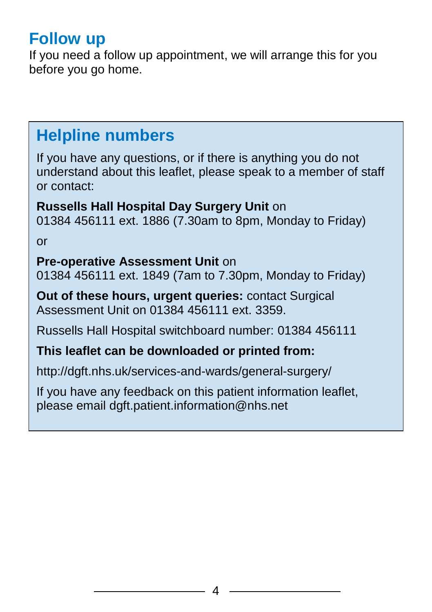## **Follow up**

If you need a follow up appointment, we will arrange this for you before you go home.

## **Helpline numbers**

If you have any questions, or if there is anything you do not understand about this leaflet, please speak to a member of staff or contact:

**Russells Hall Hospital Day Surgery Unit** on 01384 456111 ext. 1886 (7.30am to 8pm, Monday to Friday)

or

#### **Pre-operative Assessment Unit** on

01384 456111 ext. 1849 (7am to 7.30pm, Monday to Friday)

**Out of these hours, urgent queries:** contact Surgical Assessment Unit on 01384 456111 ext. 3359.

Russells Hall Hospital switchboard number: 01384 456111

#### **This leaflet can be downloaded or printed from:**

http://dgft.nhs.uk/services-and-wards/general-surgery/

If you have any feedback on this patient information leaflet, please email dgft.patient.information@nhs.net